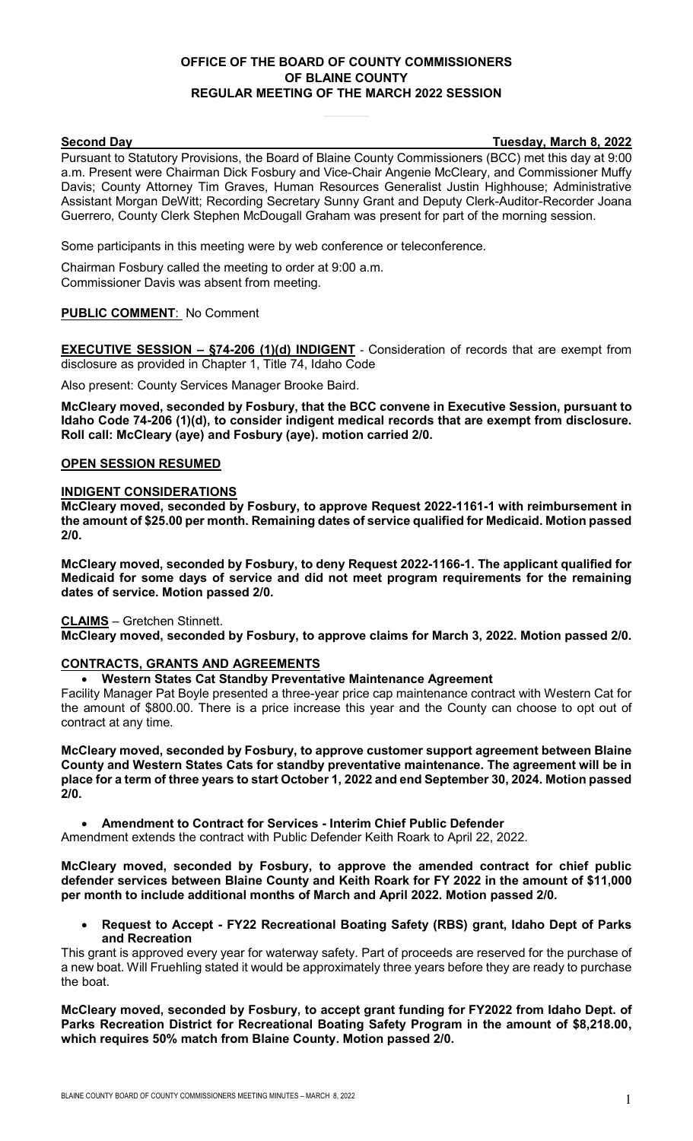## **OFFICE OF THE BOARD OF COUNTY COMMISSIONERS OF BLAINE COUNTY REGULAR MEETING OF THE MARCH 2022 SESSION**

**Second Day Tuesday, March 8, 2022**

Pursuant to Statutory Provisions, the Board of Blaine County Commissioners (BCC) met this day at 9:00 a.m. Present were Chairman Dick Fosbury and Vice-Chair Angenie McCleary, and Commissioner Muffy Davis; County Attorney Tim Graves, Human Resources Generalist Justin Highhouse; Administrative Assistant Morgan DeWitt; Recording Secretary Sunny Grant and Deputy Clerk-Auditor-Recorder Joana Guerrero, County Clerk Stephen McDougall Graham was present for part of the morning session.

Some participants in this meeting were by web conference or teleconference.

Chairman Fosbury called the meeting to order at 9:00 a.m. Commissioner Davis was absent from meeting.

## **PUBLIC COMMENT**: No Comment

**EXECUTIVE SESSION – §74-206 (1)(d) INDIGENT** - Consideration of records that are exempt from disclosure as provided in Chapter 1, Title 74, Idaho Code

Also present: County Services Manager Brooke Baird.

**McCleary moved, seconded by Fosbury, that the BCC convene in Executive Session, pursuant to Idaho Code 74-206 (1)(d), to consider indigent medical records that are exempt from disclosure. Roll call: McCleary (aye) and Fosbury (aye). motion carried 2/0.**

#### **OPEN SESSION RESUMED**

#### **INDIGENT CONSIDERATIONS**

**McCleary moved, seconded by Fosbury, to approve Request 2022-1161-1 with reimbursement in the amount of \$25.00 per month. Remaining dates of service qualified for Medicaid. Motion passed 2/0.** 

**McCleary moved, seconded by Fosbury, to deny Request 2022-1166-1. The applicant qualified for Medicaid for some days of service and did not meet program requirements for the remaining dates of service. Motion passed 2/0.**

**CLAIMS** – Gretchen Stinnett.

**McCleary moved, seconded by Fosbury, to approve claims for March 3, 2022. Motion passed 2/0.** 

#### **CONTRACTS, GRANTS AND AGREEMENTS**

#### • **Western States Cat Standby Preventative Maintenance Agreement**

Facility Manager Pat Boyle presented a three-year price cap maintenance contract with Western Cat for the amount of \$800.00. There is a price increase this year and the County can choose to opt out of contract at any time.

**McCleary moved, seconded by Fosbury, to approve customer support agreement between Blaine County and Western States Cats for standby preventative maintenance. The agreement will be in place for a term of three years to start October 1, 2022 and end September 30, 2024. Motion passed 2/0.** 

• **Amendment to Contract for Services - Interim Chief Public Defender**

Amendment extends the contract with Public Defender Keith Roark to April 22, 2022.

**McCleary moved, seconded by Fosbury, to approve the amended contract for chief public defender services between Blaine County and Keith Roark for FY 2022 in the amount of \$11,000 per month to include additional months of March and April 2022. Motion passed 2/0.**

• **Request to Accept - FY22 Recreational Boating Safety (RBS) grant, Idaho Dept of Parks and Recreation**

This grant is approved every year for waterway safety. Part of proceeds are reserved for the purchase of a new boat. Will Fruehling stated it would be approximately three years before they are ready to purchase the boat.

**McCleary moved, seconded by Fosbury, to accept grant funding for FY2022 from Idaho Dept. of Parks Recreation District for Recreational Boating Safety Program in the amount of \$8,218.00, which requires 50% match from Blaine County. Motion passed 2/0.**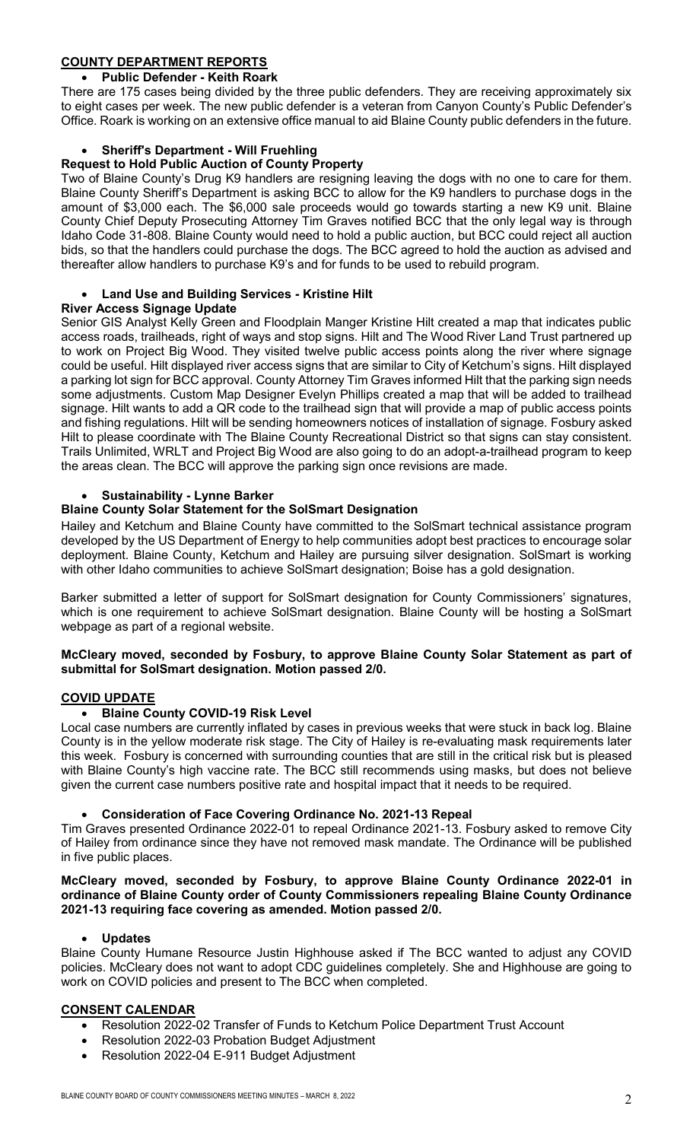# **COUNTY DEPARTMENT REPORTS**

## • **Public Defender - Keith Roark**

There are 175 cases being divided by the three public defenders. They are receiving approximately six to eight cases per week. The new public defender is a veteran from Canyon County's Public Defender's Office. Roark is working on an extensive office manual to aid Blaine County public defenders in the future.

## • **Sheriff's Department - Will Fruehling**

### **Request to Hold Public Auction of County Property**

Two of Blaine County's Drug K9 handlers are resigning leaving the dogs with no one to care for them. Blaine County Sheriff's Department is asking BCC to allow for the K9 handlers to purchase dogs in the amount of \$3,000 each. The \$6,000 sale proceeds would go towards starting a new K9 unit. Blaine County Chief Deputy Prosecuting Attorney Tim Graves notified BCC that the only legal way is through Idaho Code 31-808. Blaine County would need to hold a public auction, but BCC could reject all auction bids, so that the handlers could purchase the dogs. The BCC agreed to hold the auction as advised and thereafter allow handlers to purchase K9's and for funds to be used to rebuild program.

## • **Land Use and Building Services - Kristine Hilt**

## **River Access Signage Update**

Senior GIS Analyst Kelly Green and Floodplain Manger Kristine Hilt created a map that indicates public access roads, trailheads, right of ways and stop signs. Hilt and The Wood River Land Trust partnered up to work on Project Big Wood. They visited twelve public access points along the river where signage could be useful. Hilt displayed river access signs that are similar to City of Ketchum's signs. Hilt displayed a parking lot sign for BCC approval. County Attorney Tim Graves informed Hilt that the parking sign needs some adjustments. Custom Map Designer Evelyn Phillips created a map that will be added to trailhead signage. Hilt wants to add a QR code to the trailhead sign that will provide a map of public access points and fishing regulations. Hilt will be sending homeowners notices of installation of signage. Fosbury asked Hilt to please coordinate with The Blaine County Recreational District so that signs can stay consistent. Trails Unlimited, WRLT and Project Big Wood are also going to do an adopt-a-trailhead program to keep the areas clean. The BCC will approve the parking sign once revisions are made.

## • **Sustainability - Lynne Barker**

## **Blaine County Solar Statement for the SolSmart Designation**

Hailey and Ketchum and Blaine County have committed to the SolSmart technical assistance program developed by the US Department of Energy to help communities adopt best practices to encourage solar deployment. Blaine County, Ketchum and Hailey are pursuing silver designation. SolSmart is working with other Idaho communities to achieve SolSmart designation; Boise has a gold designation.

Barker submitted a letter of support for SolSmart designation for County Commissioners' signatures, which is one requirement to achieve SolSmart designation. Blaine County will be hosting a SolSmart webpage as part of a regional website.

#### **McCleary moved, seconded by Fosbury, to approve Blaine County Solar Statement as part of submittal for SolSmart designation. Motion passed 2/0.**

## **COVID UPDATE**

## • **Blaine County COVID-19 Risk Level**

Local case numbers are currently inflated by cases in previous weeks that were stuck in back log. Blaine County is in the yellow moderate risk stage. The City of Hailey is re-evaluating mask requirements later this week. Fosbury is concerned with surrounding counties that are still in the critical risk but is pleased with Blaine County's high vaccine rate. The BCC still recommends using masks, but does not believe given the current case numbers positive rate and hospital impact that it needs to be required.

• **Consideration of Face Covering Ordinance No. 2021-13 Repeal**

Tim Graves presented Ordinance 2022-01 to repeal Ordinance 2021-13. Fosbury asked to remove City of Hailey from ordinance since they have not removed mask mandate. The Ordinance will be published in five public places.

#### **McCleary moved, seconded by Fosbury, to approve Blaine County Ordinance 2022-01 in ordinance of Blaine County order of County Commissioners repealing Blaine County Ordinance 2021-13 requiring face covering as amended. Motion passed 2/0.**

## • **Updates**

Blaine County Humane Resource Justin Highhouse asked if The BCC wanted to adjust any COVID policies. McCleary does not want to adopt CDC guidelines completely. She and Highhouse are going to work on COVID policies and present to The BCC when completed.

## **CONSENT CALENDAR**

- Resolution 2022-02 Transfer of Funds to Ketchum Police Department Trust Account
- Resolution 2022-03 Probation Budget Adjustment
- Resolution 2022-04 E-911 Budget Adjustment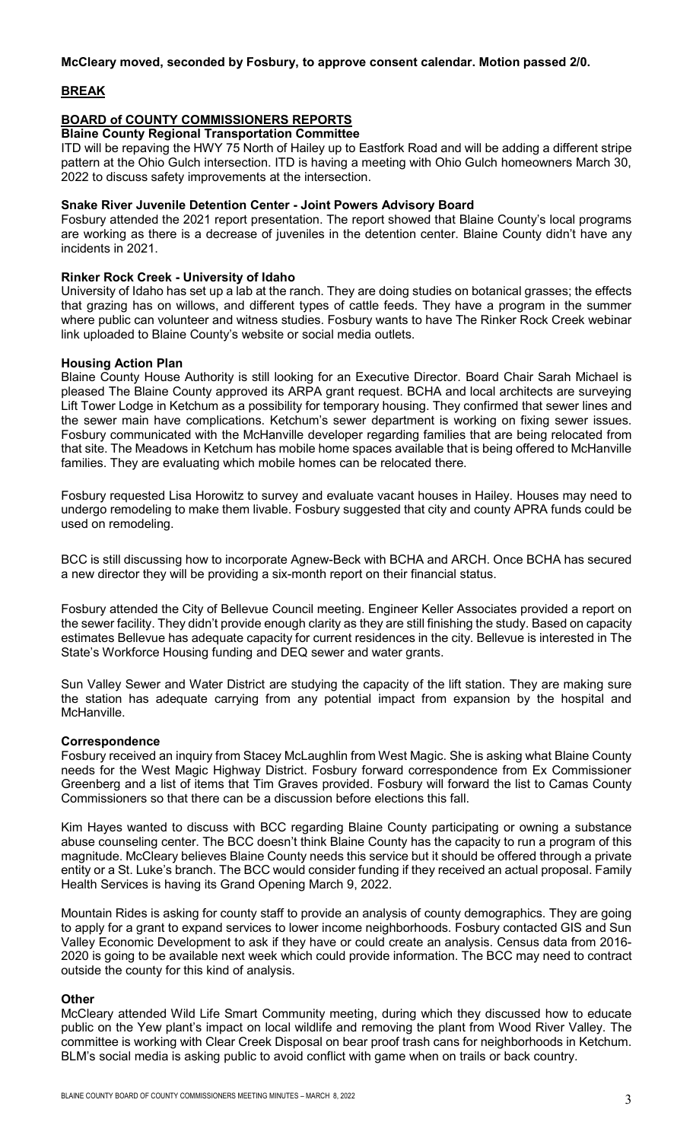#### **McCleary moved, seconded by Fosbury, to approve consent calendar. Motion passed 2/0.**

## **BREAK**

# **BOARD of COUNTY COMMISSIONERS REPORTS**

**Blaine County Regional Transportation Committee**

ITD will be repaving the HWY 75 North of Hailey up to Eastfork Road and will be adding a different stripe pattern at the Ohio Gulch intersection. ITD is having a meeting with Ohio Gulch homeowners March 30, 2022 to discuss safety improvements at the intersection.

#### **Snake River Juvenile Detention Center - Joint Powers Advisory Board**

Fosbury attended the 2021 report presentation. The report showed that Blaine County's local programs are working as there is a decrease of juveniles in the detention center. Blaine County didn't have any incidents in 2021.

### **Rinker Rock Creek - University of Idaho**

University of Idaho has set up a lab at the ranch. They are doing studies on botanical grasses; the effects that grazing has on willows, and different types of cattle feeds. They have a program in the summer where public can volunteer and witness studies. Fosbury wants to have The Rinker Rock Creek webinar link uploaded to Blaine County's website or social media outlets.

#### **Housing Action Plan**

Blaine County House Authority is still looking for an Executive Director. Board Chair Sarah Michael is pleased The Blaine County approved its ARPA grant request. BCHA and local architects are surveying Lift Tower Lodge in Ketchum as a possibility for temporary housing. They confirmed that sewer lines and the sewer main have complications. Ketchum's sewer department is working on fixing sewer issues. Fosbury communicated with the McHanville developer regarding families that are being relocated from that site. The Meadows in Ketchum has mobile home spaces available that is being offered to McHanville families. They are evaluating which mobile homes can be relocated there.

Fosbury requested Lisa Horowitz to survey and evaluate vacant houses in Hailey. Houses may need to undergo remodeling to make them livable. Fosbury suggested that city and county APRA funds could be used on remodeling.

BCC is still discussing how to incorporate Agnew-Beck with BCHA and ARCH. Once BCHA has secured a new director they will be providing a six-month report on their financial status.

Fosbury attended the City of Bellevue Council meeting. Engineer Keller Associates provided a report on the sewer facility. They didn't provide enough clarity as they are still finishing the study. Based on capacity estimates Bellevue has adequate capacity for current residences in the city. Bellevue is interested in The State's Workforce Housing funding and DEQ sewer and water grants.

Sun Valley Sewer and Water District are studying the capacity of the lift station. They are making sure the station has adequate carrying from any potential impact from expansion by the hospital and McHanville.

#### **Correspondence**

Fosbury received an inquiry from Stacey McLaughlin from West Magic. She is asking what Blaine County needs for the West Magic Highway District. Fosbury forward correspondence from Ex Commissioner Greenberg and a list of items that Tim Graves provided. Fosbury will forward the list to Camas County Commissioners so that there can be a discussion before elections this fall.

Kim Hayes wanted to discuss with BCC regarding Blaine County participating or owning a substance abuse counseling center. The BCC doesn't think Blaine County has the capacity to run a program of this magnitude. McCleary believes Blaine County needs this service but it should be offered through a private entity or a St. Luke's branch. The BCC would consider funding if they received an actual proposal. Family Health Services is having its Grand Opening March 9, 2022.

Mountain Rides is asking for county staff to provide an analysis of county demographics. They are going to apply for a grant to expand services to lower income neighborhoods. Fosbury contacted GIS and Sun Valley Economic Development to ask if they have or could create an analysis. Census data from 2016- 2020 is going to be available next week which could provide information. The BCC may need to contract outside the county for this kind of analysis.

#### **Other**

McCleary attended Wild Life Smart Community meeting, during which they discussed how to educate public on the Yew plant's impact on local wildlife and removing the plant from Wood River Valley. The committee is working with Clear Creek Disposal on bear proof trash cans for neighborhoods in Ketchum. BLM's social media is asking public to avoid conflict with game when on trails or back country.